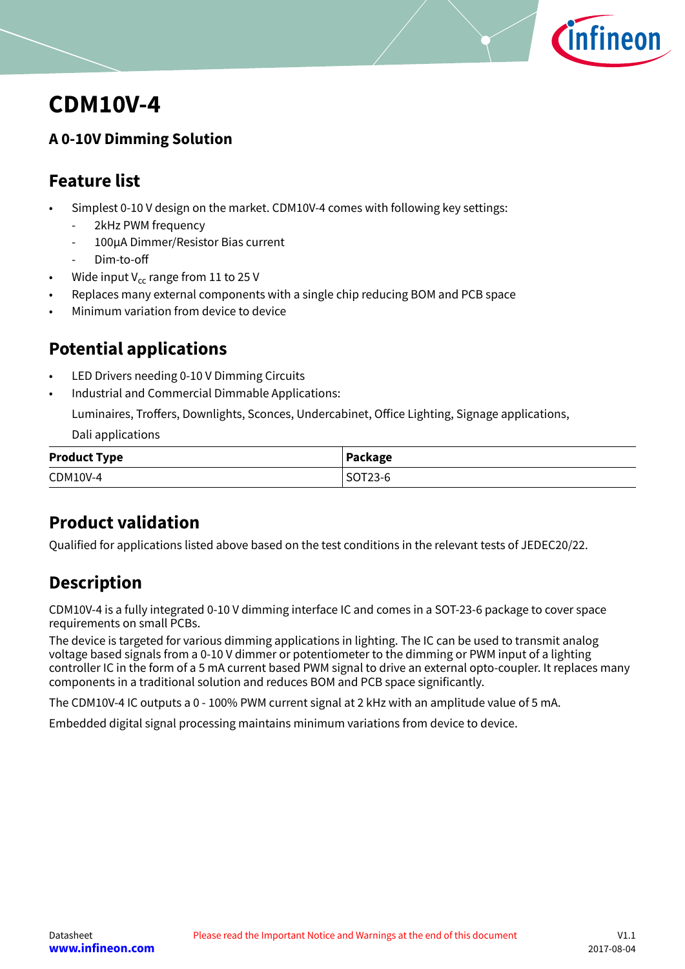

# <span id="page-0-0"></span>**CDM10V-4**

## **A 0-10V Dimming Solution**

## **Feature list**

- Simplest 0-10 V design on the market. CDM10V-4 comes with following key settings:
	- 2kHz PWM frequency
	- 100μA Dimmer/Resistor Bias current
	- Dim-to-off
- Wide input  $V_{cc}$  range from 11 to 25 V
- Replaces many external components with a single chip reducing BOM and PCB space
- Minimum variation from device to device

## **Potential applications**

- LED Drivers needing 0-10 V Dimming Circuits
- Industrial and Commercial Dimmable Applications:

Luminaires, Troffers, Downlights, Sconces, Undercabinet, Office Lighting, Signage applications,

Dali applications

| <b>Product Type</b> | Package |
|---------------------|---------|
| CDM10V-4            | SOT23-6 |

## **Product validation**

Qualified for applications listed above based on the test conditions in the relevant tests of JEDEC20/22.

## **Description**

CDM10V-4 is a fully integrated 0-10 V dimming interface IC and comes in a SOT-23-6 package to cover space requirements on small PCBs.

The device is targeted for various dimming applications in lighting. The IC can be used to transmit analog voltage based signals from a 0-10 V dimmer or potentiometer to the dimming or PWM input of a lighting controller IC in the form of a 5 mA current based PWM signal to drive an external opto-coupler. It replaces many components in a traditional solution and reduces BOM and PCB space significantly.

The CDM10V-4 IC outputs a 0 - 100% PWM current signal at 2 kHz with an amplitude value of 5 mA.

Embedded digital signal processing maintains minimum variations from device to device.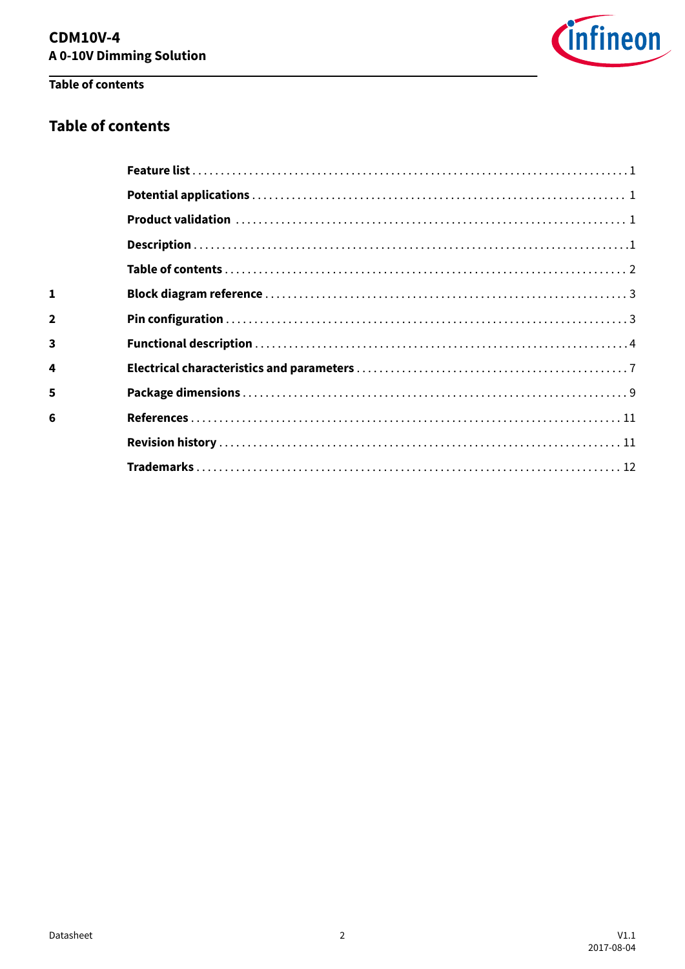

## Table of contents

 $\mathbf 1$  $\overline{2}$ 

 $\overline{\mathbf{3}}$ 

 $\overline{\mathbf{4}}$ 

 $\overline{\mathbf{5}}$ 

 $6\phantom{a}$ 

## **Table of contents**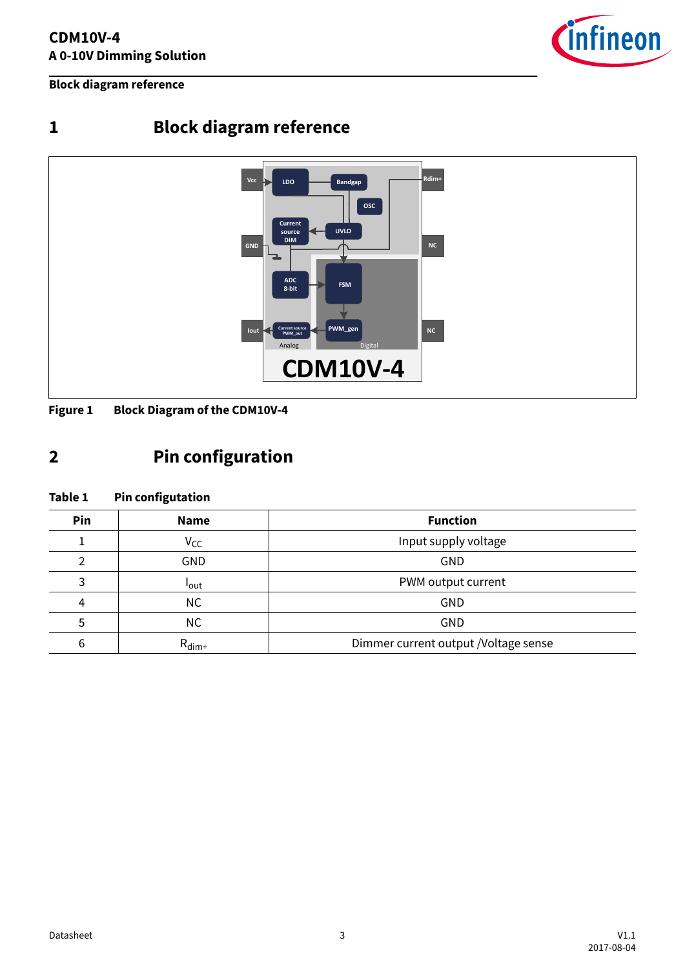

<span id="page-2-0"></span>**Block diagram reference**

# **1 Block diagram reference**



**Figure 1 Block Diagram of the CDM10V-4**

# **2 Pin configuration**

### **Table 1 Pin configutation**

| Pin | <b>Function</b><br><b>Name</b> |                                      |  |  |
|-----|--------------------------------|--------------------------------------|--|--|
|     | $V_{CC}$                       | Input supply voltage                 |  |  |
|     | <b>GND</b>                     | GND                                  |  |  |
| 3   | <b>l</b> out                   | PWM output current                   |  |  |
| 4   | NC.                            | GND                                  |  |  |
|     | <b>NC</b>                      | GND                                  |  |  |
| 6   | $R_{\text{dim}+}$              | Dimmer current output /Voltage sense |  |  |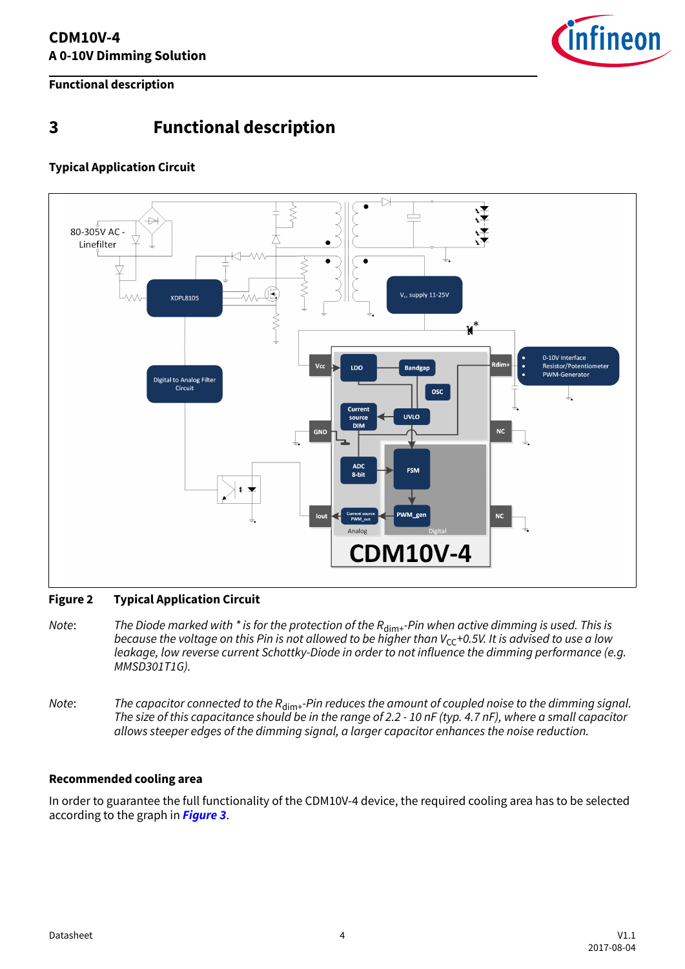

<span id="page-3-0"></span>**Functional description**

## **3 Functional description**

### **Typical Application Circuit**



### **Figure 2 Typical Application Circuit**

- Note: The Diode marked with  $*$  is for the protection of the  $R_{\text{dim}+}$ -Pin when active dimming is used. This is because the voltage on this Pin is not allowed to be higher than  $V_{CC}$ +0.5V. It is advised to use a low leakage, low reverse current Schottky-Diode in order to not influence the dimming performance (e.g. MMSD301T1G).
- Note: The capacitor connected to the  $R_{\text{dim}+}$ -Pin reduces the amount of coupled noise to the dimming signal. The size of this capacitance should be in the range of 2.2 - 10 nF (typ. 4.7 nF), where a small capacitor allows steeper edges of the dimming signal, a larger capacitor enhances the noise reduction.

### **Recommended cooling area**

In order to guarantee the full functionality of the CDM10V-4 device, the required cooling area has to be selected according to the graph in **[Figure 3](#page-4-0)**.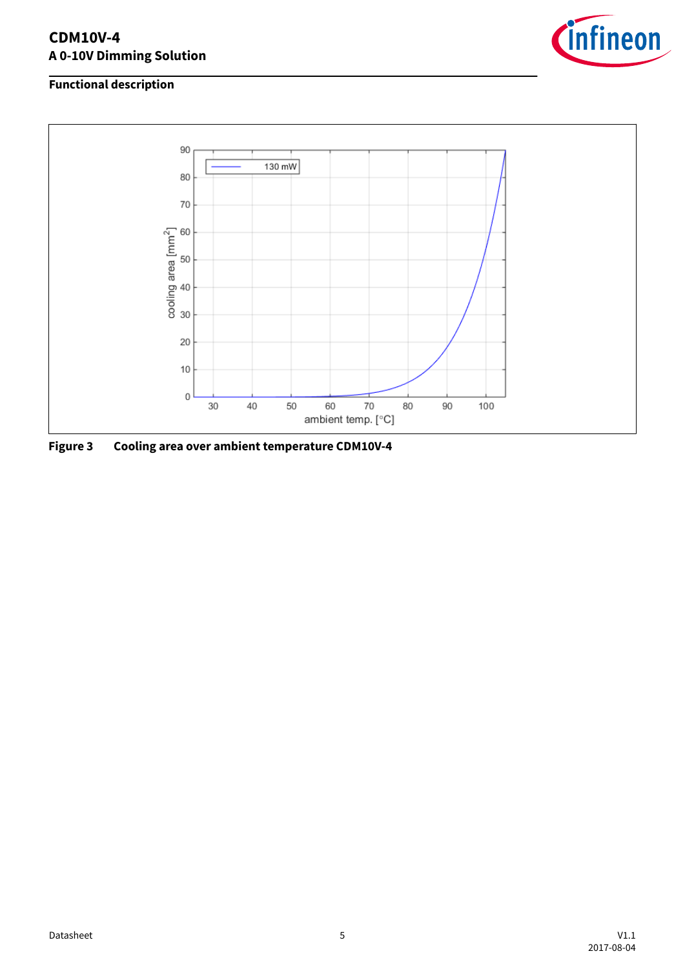### <span id="page-4-0"></span>**CDM10V-4 A 0-10V Dimming Solution**



### **Functional description**



**Figure 3 Cooling area over ambient temperature CDM10V-4**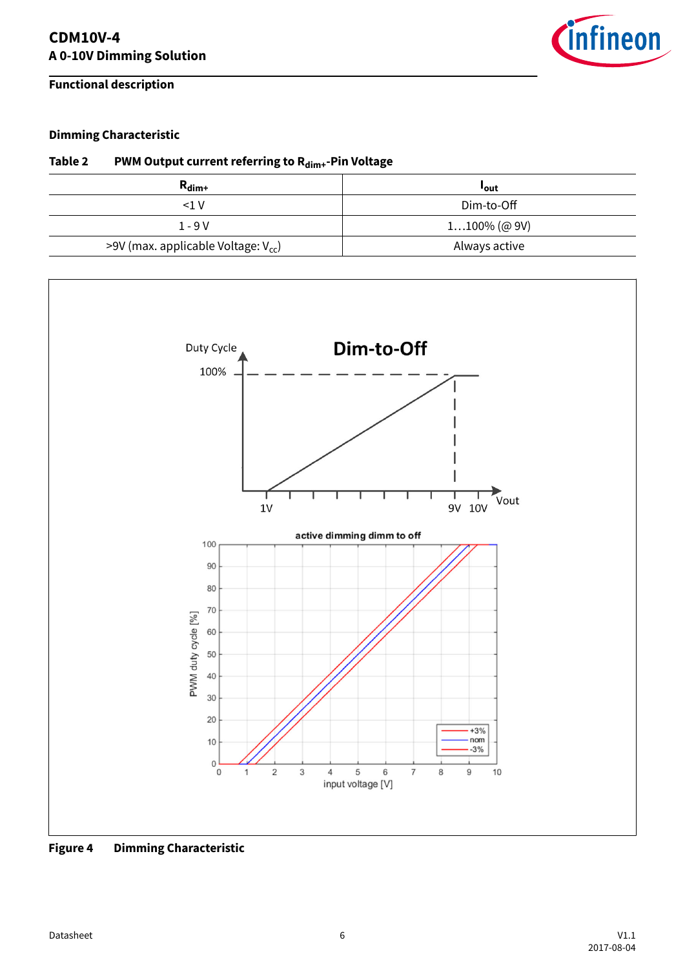### **Functional description**



### **Dimming Characteristic**

### **Table 2 PWM Output current referring to Rdim+-Pin Voltage**

| $R_{\text{dim}+}$                        | <b>Lout</b>     |
|------------------------------------------|-----------------|
| <1 V                                     | Dim-to-Off      |
| $1 - 9V$                                 | $1100\%$ (@ 9V) |
| >9V (max. applicable Voltage: $V_{cc}$ ) | Always active   |



**Figure 4 Dimming Characteristic**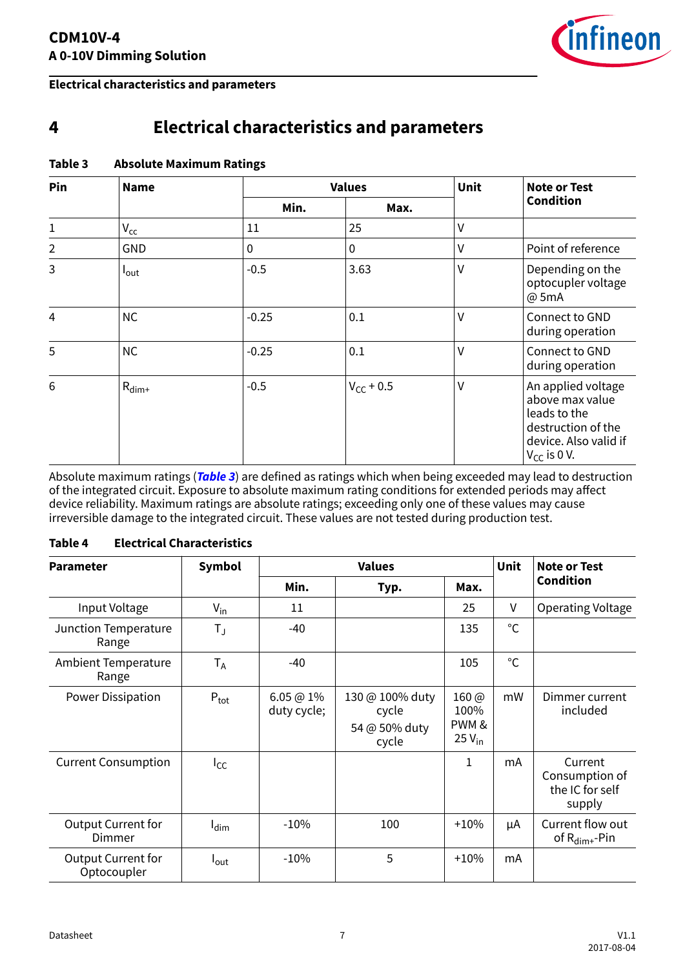

### <span id="page-6-0"></span>**Electrical characteristics and parameters**

## **4 Electrical characteristics and parameters**

| Pin<br><b>Name</b> |                   | <b>Values</b> | <b>Unit</b>    | <b>Note or Test</b><br><b>Condition</b> |                                                                                                                          |
|--------------------|-------------------|---------------|----------------|-----------------------------------------|--------------------------------------------------------------------------------------------------------------------------|
|                    | Min.              | Max.          |                |                                         |                                                                                                                          |
| $\mathbf{1}$       | $V_{cc}$          | 11            | 25             | $\vee$                                  |                                                                                                                          |
| $\overline{2}$     | <b>GND</b>        | 0             | 0              | V                                       | Point of reference                                                                                                       |
| 3                  | $I_{\text{out}}$  | $-0.5$        | 3.63           | $\vee$                                  | Depending on the<br>optocupler voltage<br>@ 5mA                                                                          |
| $\overline{4}$     | <b>NC</b>         | $-0.25$       | 0.1            | V                                       | Connect to GND<br>during operation                                                                                       |
| 5                  | <b>NC</b>         | $-0.25$       | 0.1            | $\vee$                                  | Connect to GND<br>during operation                                                                                       |
| 6                  | $R_{\text{dim}+}$ | $-0.5$        | $V_{CC}$ + 0.5 | V                                       | An applied voltage<br>above max value<br>leads to the<br>destruction of the<br>device. Also valid if<br>$V_{CC}$ is 0 V. |

### **Table 3 Absolute Maximum Ratings**

Absolute maximum ratings (**Table 3**) are defined as ratings which when being exceeded may lead to destruction of the integrated circuit. Exposure to absolute maximum rating conditions for extended periods may affect device reliability. Maximum ratings are absolute ratings; exceeding only one of these values may cause irreversible damage to the integrated circuit. These values are not tested during production test.

### **Table 4 Electrical Characteristics**

| <b>Parameter</b>                         | Symbol<br><b>Values</b> |                          |                                                    | Unit                                        | <b>Note or Test</b> |                                                        |
|------------------------------------------|-------------------------|--------------------------|----------------------------------------------------|---------------------------------------------|---------------------|--------------------------------------------------------|
|                                          |                         | Min.                     | Typ.                                               | Max.                                        |                     | <b>Condition</b>                                       |
| Input Voltage                            | $V_{in}$                | 11                       |                                                    | 25                                          | V                   | Operating Voltage                                      |
| Junction Temperature<br>Range            | $T_{J}$                 | -40                      |                                                    | 135                                         | $^{\circ}$ C        |                                                        |
| Ambient Temperature<br>Range             | $T_A$                   | $-40$                    |                                                    | 105                                         | °C                  |                                                        |
| Power Dissipation                        | $P_{\text{tot}}$        | 6.05 @ 1%<br>duty cycle; | 130 @ 100% duty<br>cycle<br>54 @ 50% duty<br>cycle | $160 \omega$<br>100%<br>PWM &<br>$25V_{in}$ | mW                  | Dimmer current<br>included                             |
| <b>Current Consumption</b>               | $I_{CC}$                |                          |                                                    | 1                                           | mA                  | Current<br>Consumption of<br>the IC for self<br>supply |
| <b>Output Current for</b><br>Dimmer      | $I_{\text{dim}}$        | $-10%$                   | 100                                                | $+10%$                                      | μA                  | Current flow out<br>of $R_{\text{dim}+}$ -Pin          |
| <b>Output Current for</b><br>Optocoupler | l <sub>out</sub>        | $-10%$                   | 5                                                  | $+10%$                                      | mA                  |                                                        |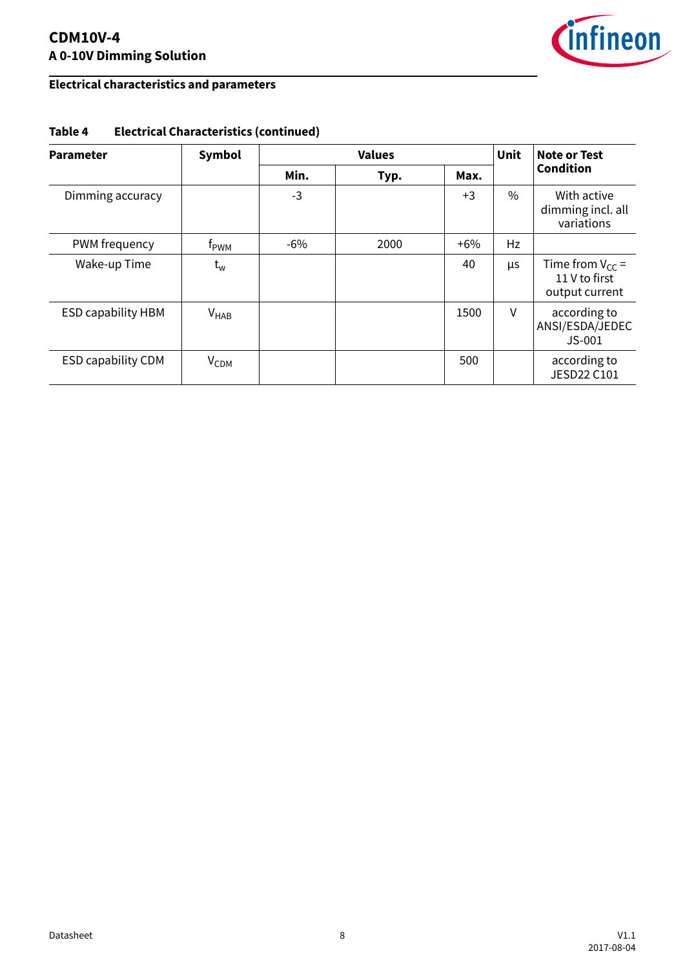### **CDM10V-4 A 0-10V Dimming Solution**



## **Electrical characteristics and parameters**

| <b>Parameter</b>          | Symbol                    | <b>Values</b> |      |        | <b>Unit</b> | Note or Test                                            |
|---------------------------|---------------------------|---------------|------|--------|-------------|---------------------------------------------------------|
|                           |                           | Min.          | Typ. | Max.   |             | <b>Condition</b>                                        |
| Dimming accuracy          |                           | $-3$          |      | $+3$   | $\%$        | With active<br>dimming incl. all<br>variations          |
| PWM frequency             | t <sub>pwm</sub>          | $-6\%$        | 2000 | $+6\%$ | Hz          |                                                         |
| Wake-up Time              | $\mathsf{t}_{\mathsf{w}}$ |               |      | 40     | <b>US</b>   | Time from $V_{CC}$ =<br>11 V to first<br>output current |
| <b>ESD capability HBM</b> | $V_{HAB}$                 |               |      | 1500   | V           | according to<br>ANSI/ESDA/JEDEC<br>$JS-001$             |
| <b>ESD capability CDM</b> | V <sub>CDM</sub>          |               |      | 500    |             | according to<br><b>JESD22 C101</b>                      |

### **Table 4 Electrical Characteristics (continued)**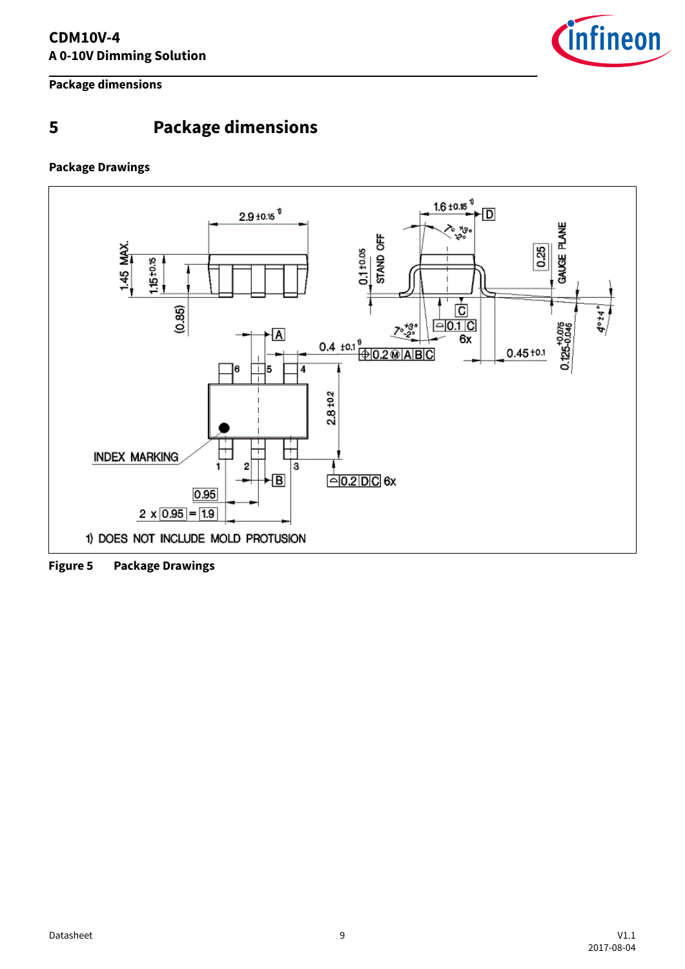

<span id="page-8-0"></span>**Package dimensions**

## **5 Package dimensions**

### **Package Drawings**



**Figure 5 Package Drawings**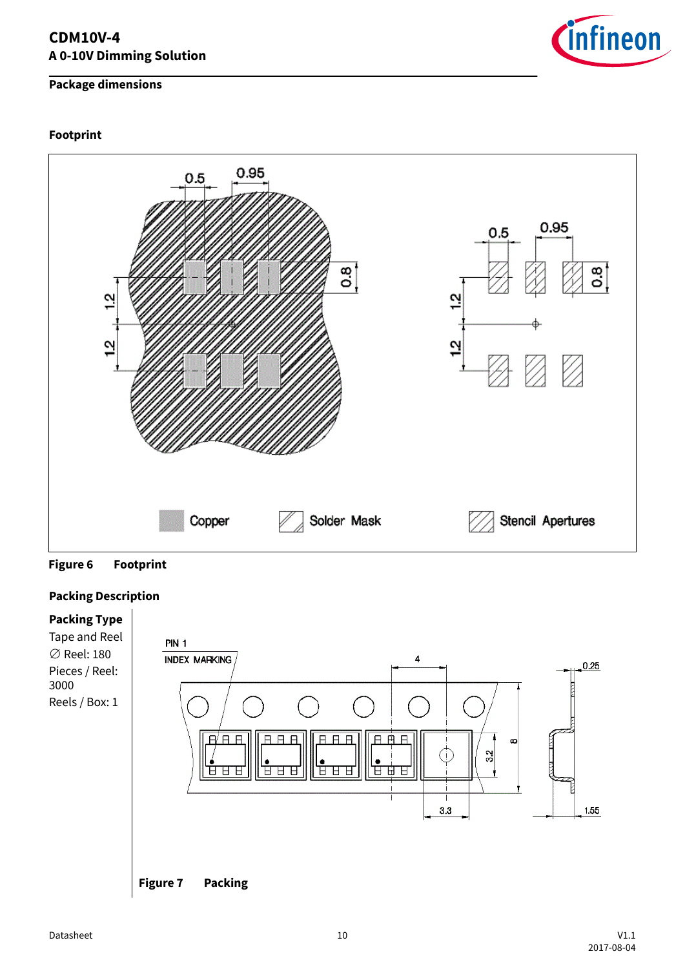### **CDM10V-4 A 0-10V Dimming Solution**

### **Package dimensions**

### **Footprint**



![](_page_9_Figure_4.jpeg)

### **Packing Description**

![](_page_9_Figure_6.jpeg)

![](_page_9_Picture_9.jpeg)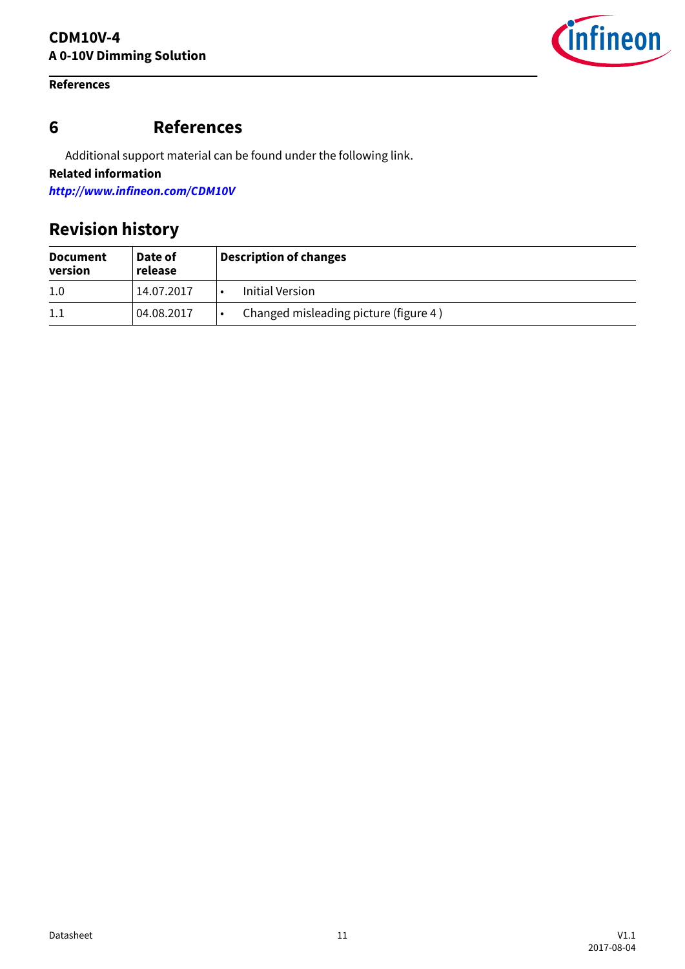### <span id="page-10-0"></span>**References**

![](_page_10_Picture_2.jpeg)

## **6 References**

Additional support material can be found under the following link.

**Related information**

**<http://www.infineon.com/CDM10V>**

## **Revision history**

| <b>Document</b><br>version | Date of<br>release | <b>Description of changes</b>         |  |
|----------------------------|--------------------|---------------------------------------|--|
| 1.0                        | 14.07.2017         | Initial Version                       |  |
| $1.1\,$                    | 04.08.2017         | Changed misleading picture (figure 4) |  |